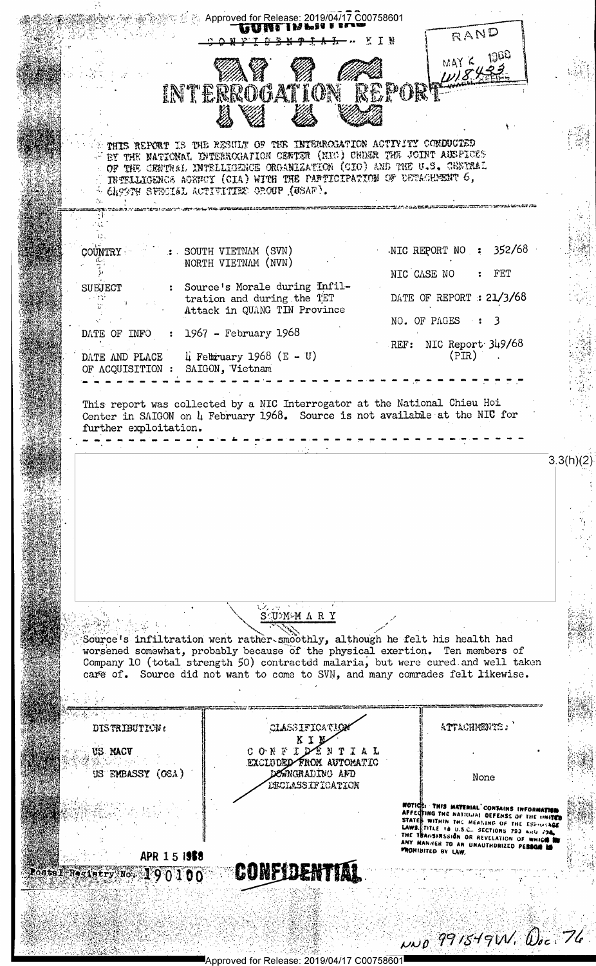|                                                                             | Approved for Release: 2019/04/17 C00758601<br><b><i><u>PARIEL IN IN 88</u></i></b>                                                                                                                                                                                                                                               | RAND<br>T N                                                                                                                                                                                                                                                                   |
|-----------------------------------------------------------------------------|----------------------------------------------------------------------------------------------------------------------------------------------------------------------------------------------------------------------------------------------------------------------------------------------------------------------------------|-------------------------------------------------------------------------------------------------------------------------------------------------------------------------------------------------------------------------------------------------------------------------------|
|                                                                             | INTERROGATION REPORT                                                                                                                                                                                                                                                                                                             | MAY K<br>11845                                                                                                                                                                                                                                                                |
|                                                                             | THIS REPORT IS THE RESULT OF THE INTERROLATION ACTIVITY COMDUCTED<br>FEY THE NATIONAL INTERROGATION CENTER (MIC) UNDER THE JOINT AUSPICES<br>OF THE CENTRAL INTELLIGENCE ORGANIZATION (CIO) AND THE U.S. CENTRAL<br>INTELLIGENCE AGENCY (GIA) WITH THE PARTICIPATION OF DETACHMENT 6,<br>Cheese SPECIAL ACTIVITIES OROUP (USAF). |                                                                                                                                                                                                                                                                               |
|                                                                             |                                                                                                                                                                                                                                                                                                                                  |                                                                                                                                                                                                                                                                               |
| <b>COUNTRY</b>                                                              | : SOUTH VIETNAM (SVN)                                                                                                                                                                                                                                                                                                            | NIC REPORT NO : $352/68$                                                                                                                                                                                                                                                      |
|                                                                             | NORTH VIETNAM (NVN)                                                                                                                                                                                                                                                                                                              | NIC CASE NO<br>$:$ FET                                                                                                                                                                                                                                                        |
| SUBJECT<br>n tür                                                            | : Source's Morale during Infil-<br>tration and during the TET                                                                                                                                                                                                                                                                    | DATE OF REPORT : $21/3/68$                                                                                                                                                                                                                                                    |
|                                                                             | Attack in QUANG TIN Province                                                                                                                                                                                                                                                                                                     | NO. OF PAGES : 3                                                                                                                                                                                                                                                              |
| DATE OF INFO : $1967$ - February 1968<br>DATE AND PLACE<br>OF ACQUISITION : | $\mu$ February 1968 (E - U)<br>SAIGON, Vietnam                                                                                                                                                                                                                                                                                   | REF: NIC Report 349/68<br>(PIR)                                                                                                                                                                                                                                               |
|                                                                             |                                                                                                                                                                                                                                                                                                                                  |                                                                                                                                                                                                                                                                               |
| further exploitation.                                                       | This report was collected by a NIC Interrogator at the National Chieu Hoi<br>Center in SAIGON on 4 February 1968. Source is not available at the NIC for                                                                                                                                                                         |                                                                                                                                                                                                                                                                               |
|                                                                             |                                                                                                                                                                                                                                                                                                                                  | 3.3(h)(2)                                                                                                                                                                                                                                                                     |
|                                                                             |                                                                                                                                                                                                                                                                                                                                  |                                                                                                                                                                                                                                                                               |
|                                                                             | $1, 2, 1, 2, \ldots$<br>SUMMAARY                                                                                                                                                                                                                                                                                                 |                                                                                                                                                                                                                                                                               |
|                                                                             | Source's infiltration went rather-smoothly, although he felt his health had<br>worsened somewhat, probably because of the physical exertion. Ten members of<br>Company 10 (total strength 50) contracted malaria, but were cured and well taken<br>care of. Source did not want to come to SVN, and many comrades felt likewise. |                                                                                                                                                                                                                                                                               |
|                                                                             |                                                                                                                                                                                                                                                                                                                                  |                                                                                                                                                                                                                                                                               |
| DISTRIBUTION:                                                               | CLASSIFICATIO                                                                                                                                                                                                                                                                                                                    | ATTACHMENTS:                                                                                                                                                                                                                                                                  |
| US NACV<br>US EMBASSY (OSA)                                                 | CONFIDENTIAL<br>EXCLUDED FROM AUTOMATIC<br>DOWNGRADING AND                                                                                                                                                                                                                                                                       |                                                                                                                                                                                                                                                                               |
|                                                                             | DECLASSIFICATION                                                                                                                                                                                                                                                                                                                 | None                                                                                                                                                                                                                                                                          |
|                                                                             |                                                                                                                                                                                                                                                                                                                                  | NOTICE: THIS MATERIAL CONTAINS INFORMATION<br>AFFECTING THE NATIONAL DEFENSE OF THE UNITED<br>STATES WITHIN THE MEANING OF THE ESPINAGE<br>LAWS. TITLE 18 U.S.C., SECTIONS 793 AND 794<br>THE TRANSINSSION OR REVELATION OF WHICH I<br>ANY MANNER TO AN UNAUTHORIZED PERSON M |
| APR 151958<br>Postal Resistry No. 190100                                    | CONFIDENTIAL                                                                                                                                                                                                                                                                                                                     | PROHIBITED BY LAW.                                                                                                                                                                                                                                                            |
|                                                                             |                                                                                                                                                                                                                                                                                                                                  |                                                                                                                                                                                                                                                                               |
|                                                                             | Ralagea: 2010/04/17 C007                                                                                                                                                                                                                                                                                                         | 0.0099154911.002776                                                                                                                                                                                                                                                           |

.<br>■Approved for Release: 2019/04/17 C00758601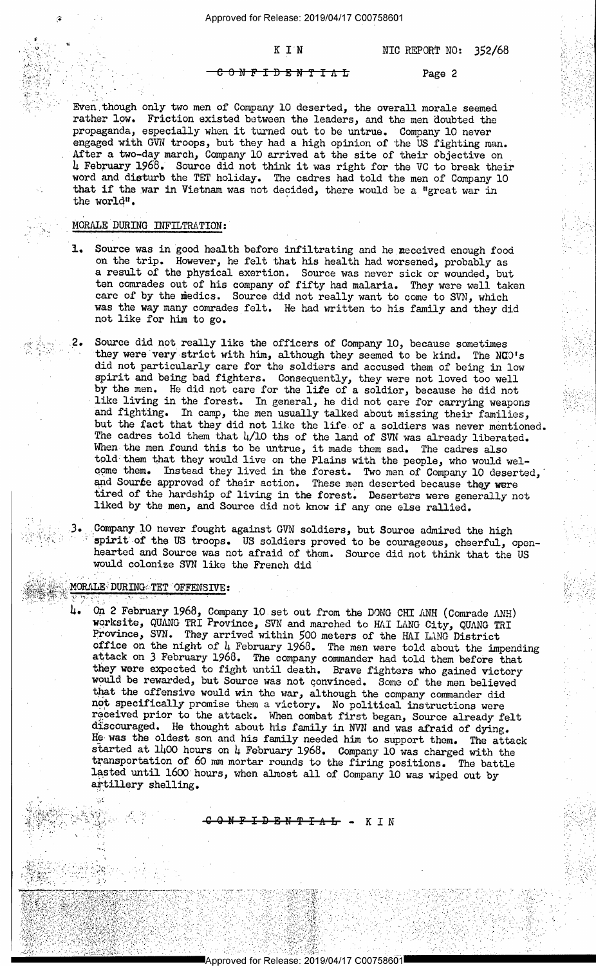$\overline{O}$  N F I D E N T I  $\Lambda$  L  $\overline{L}$  Page 2

Even though only two men of Company 10 deserted, the overall morale seemed rather low. Friction existed between the leaders, and the men doubted the propaganda, especially when it turned out to be untrue. Company l0 never engaged with GVN troops, but they had a high opinion of the US fighting man. After a two-day march, Company 10 arrived at the site of their objective on h February 1968. Source did not think it was right for the VC to break their word and disturb the TET holiday. The cadres had told the men of Company 10 that if the war in Vietnam was not decided, there would be a "great war in the world".

## MORALE DURING INFILTRATION:

. The set of the set of the set of the set of the set of the set of the set of the set of the set of the set of the set of the set of the set of the set of the set of the set of the set of the set of the set of the set of

-7 . . ' -

- Source was in good health before infiltrating and he neceived enough food on the trip. However, he felt that his health had worsened, probably as a result of the physical exertion. Source was never sick or wounded, but ten comrades out of his company of fifty had malaria. They were well taken care of by the medics. Source did not really want to come to SVN, which was the way many comrades felt. He had written to his family and they did not like for him to go.
- .2. Source did not really like the officers of Company 10, because sometimes  $\epsilon$ . Source the not really like the officers of Company 10, because sometimes they were very strict with him, although they seemed to be kind. The NCQ's did not particularly care for the soldiers and accused them of being in low spirit and being bad fighters. Consequently, they were not loved too well by the men. He did not care for the life of a soldier, because he did not like living in the forest. In general, he did not care for carrying weapons<br>and fighting. In camp, the men usually talked about missing their families,<br>but the fact that they did not like the life of a soldiers was never told them that they would live on the Plains with the people, who would welcome them. Instead they lived in the forest. Two men of Company 10 deserted, and Source approved of their action. These men deserted because they were tired of the hardship of living in the forest. Deserters were generally not liked by the men, and Source did not know if any one else rallied.

Company 10 never fought against GVN soldiers, but Source admired the high spirit of the US troops. US soldiers proved to be courageous, cheerful, open-hearted and Source was not afraid of them. Source did not think that th would colonize SVN like the French did

## WORALE DURING TET OFFENSIVE:

..'

' 'w. . . , Hg, Q" ,

x

., . f' . - -

 $\sim$   $\sim$   $\sim$   $\sim$ 

K

1-.§:"'f.--...'.-'A ' ' . <sup>~</sup> - 1 ~??.l\*".1¥2t'?" ' =' -

 $\mathcal{H}_{\mathcal{S}}$  , with  $\mathcal{H}_{\mathcal{S}}$  ,  $\mathcal{H}_{\mathcal{S}}$  ,  $\mathcal{H}_{\mathcal{S}}$  ,  $\mathcal{H}_{\mathcal{S}}$  ,  $\mathcal{H}_{\mathcal{S}}$  ,  $\mathcal{H}_{\mathcal{S}}$  ,  $\mathcal{H}_{\mathcal{S}}$ 

y-.a,.»---,-\_---.--<-<--?-,--~-¢»==~¢~-=-re¢¢~=;;;1=¢T---p-r~—--» ;~~.»-~<~ ~  $-1.5$  :  $-1.5$   $-1.5$   $-1.5$   $-1.5$   $-1.5$   $-1.5$   $-1.5$   $-1.5$   $-1.5$   $-1.5$   $-1.5$   $-1.5$   $-1.5$   $-1.5$   $-1.5$   $-1.5$   $-1.5$   $-1.5$   $-1.5$   $-1.5$   $-1.5$   $-1.5$   $-1.5$   $-1.5$   $-1.5$   $-1.5$   $-1.5$   $-1.5$   $-1.5$   $-1.5$   $-$ 

3; 5:14; 5:14; 5:15; 5:15; 5:17; 5:17; 5:17; 5:17; 5:17; 5:17; 5:17; 5:17; 5:17; 5:17; 5:17; 5:17; 5:17; 5:17;

<sup>1</sup>'3 .

. 12:50 12:00 12:00 12:00 12:00 12:00 12:00 12:00 12:00 12:00 12:00 12:00 12:00 12:00 12:00 12:00 12:00 12:00

73;-'7,~"--'§'1;'-FE 5-! -\_-.1 :vZ';;\*';i~'. .~-'-~."-1;-':t: :1:-\_'~\_-\_~ '

l <sup>I</sup>

 $-1$  )  $-1$  ,  $-1$  ,  $-1$  ,  $-1$  ,  $-1$  ,  $-1$  ,  $-1$  ,  $-1$  ,  $-1$  ,  $-1$  ,  $-1$  ,  $-1$  ,  $-1$  ,  $-1$  ,  $-1$  ,  $-1$  ,  $-1$  ,  $-1$  ,  $-1$  ,  $-1$  ,  $-1$  ,  $-1$  ,  $-1$  ,  $-1$  ,  $-1$  ,  $-1$  ,  $-1$  ,  $-1$  ,  $-1$  ,  $-1$  ,  $-1$ 

' '-

4. On 2 February 1968, Company 10 set out from the DONG CHI ANH (Comrade ANH)<br>worksite, QUANG TRI Province, SVN and marched to HAI LANG City, QUANG TRI<br>Province, SVN. They arrived within 500 meters of the HAI LANG District attack on 3 February 1968. The company commander had told them before that they were expected to fight until death. Brave fighters who gained victory would be rewarded, but Source was not convinced. Some of the men believed that the offensive would win the war, although the company commander did not specifically promise them a victory. No political instructions were received prior to the attack. When combat first began, Source already felt<br>discouraged. He thought about his family in NVN and was afraid of dying.<br>He was the oldest son and his family needed him to support them. The attac

ONFIDENTIAL - KIN

en de la componentación de la componentación de la componentación de la componentación de la componentación de

Approved for Release: 2019/04/17 C00758601

YARAY HEREKA YANG MAKAN KERAKA MATERATAN DENGAN DENGAN DENGAN KERAKAN MATERATAN DENGAN DENGAN DENGAN DENGAN DENGAN DENGAN DENGAN DENGAN DENGAN DENGAN DENGAN DENGAN DENGAN DENGAN DENGAN DENGAN DENGAN DENGAN DENGAN DENGAN DE

" ....q'\_, -4 . ., . .,\_ \_ <sup>n</sup>.. - . -.-.,, -~ ., - ., . .. . \_ .

- 11 - 12 - 14 14 14 15 16 16 17 18 19 19

٠,

,» > . . -

. -~ .

\_ . < - -~ -- -- =- : .

' ' .- <sup>v</sup>

. .~ -

-, .. = . 1\_-